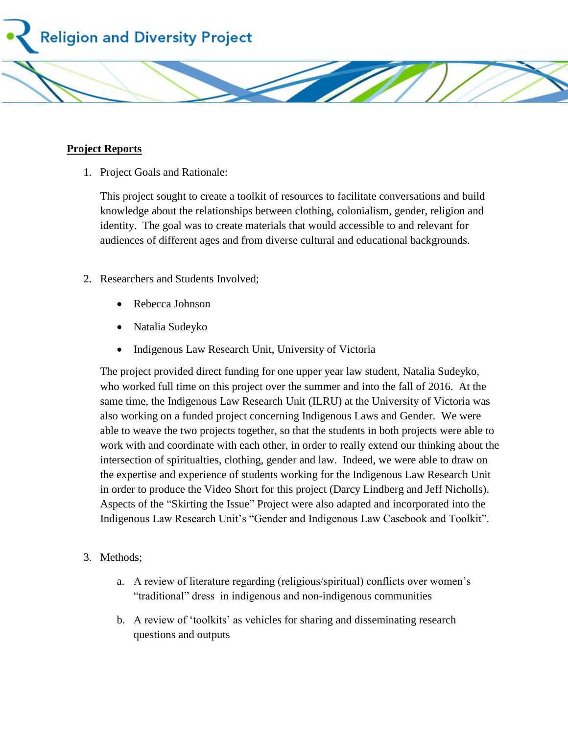**Religion and Diversity Project** 

## **Project Reports**

1. Project Goals and Rationale:

This project sought to create a toolkit of resources to facilitate conversations and build knowledge about the relationships between clothing, colonialism, gender, religion and identity. The goal was to create materials that would accessible to and relevant for audiences of different ages and from diverse cultural and educational backgrounds.

- 2. Researchers and Students Involved;
	- Rebecca Johnson
	- Natalia Sudeyko
	- Indigenous Law Research Unit, University of Victoria

The project provided direct funding for one upper year law student, Natalia Sudeyko, who worked full time on this project over the summer and into the fall of 2016. At the same time, the Indigenous Law Research Unit (ILRU) at the University of Victoria was also working on a funded project concerning Indigenous Laws and Gender. We were able to weave the two projects together, so that the students in both projects were able to work with and coordinate with each other, in order to really extend our thinking about the intersection of spiritualties, clothing, gender and law. Indeed, we were able to draw on the expertise and experience of students working for the Indigenous Law Research Unit in order to produce the Video Short for this project (Darcy Lindberg and Jeff Nicholls). Aspects of the "Skirting the Issue" Project were also adapted and incorporated into the Indigenous Law Research Unit's "Gender and Indigenous Law Casebook and Toolkit".

- 3. Methods;
	- a. A review of literature regarding (religious/spiritual) conflicts over women's "traditional" dress in indigenous and non-indigenous communities
	- b. A review of 'toolkits' as vehicles for sharing and disseminating research questions and outputs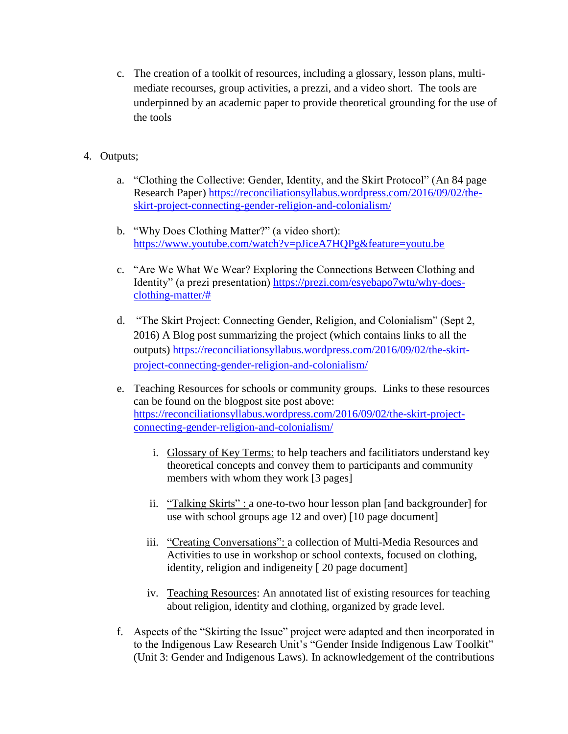c. The creation of a toolkit of resources, including a glossary, lesson plans, multimediate recourses, group activities, a prezzi, and a video short. The tools are underpinned by an academic paper to provide theoretical grounding for the use of the tools

## 4. Outputs;

- a. "Clothing the Collective: Gender, Identity, and the Skirt Protocol" (An 84 page Research Paper) [https://reconciliationsyllabus.wordpress.com/2016/09/02/the](https://reconciliationsyllabus.wordpress.com/2016/09/02/the-skirt-project-connecting-gender-religion-and-colonialism/)[skirt-project-connecting-gender-religion-and-colonialism/](https://reconciliationsyllabus.wordpress.com/2016/09/02/the-skirt-project-connecting-gender-religion-and-colonialism/)
- b. "Why Does Clothing Matter?" (a video short): <https://www.youtube.com/watch?v=pJiceA7HQPg&feature=youtu.be>
- c. "Are We What We Wear? Exploring the Connections Between Clothing and Identity" (a prezi presentation) [https://prezi.com/esyebapo7wtu/why-does](https://prezi.com/esyebapo7wtu/why-does-clothing-matter/)[clothing-matter/#](https://prezi.com/esyebapo7wtu/why-does-clothing-matter/)
- d. "The Skirt Project: Connecting Gender, Religion, and Colonialism" (Sept 2, 2016) A Blog post summarizing the project (which contains links to all the outputs) [https://reconciliationsyllabus.wordpress.com/2016/09/02/the-skirt](https://reconciliationsyllabus.wordpress.com/2016/09/02/the-skirt-project-connecting-gender-religion-and-colonialism/)[project-connecting-gender-religion-and-colonialism/](https://reconciliationsyllabus.wordpress.com/2016/09/02/the-skirt-project-connecting-gender-religion-and-colonialism/)
- e. Teaching Resources for schools or community groups. Links to these resources can be found on the blogpost site post above: [https://reconciliationsyllabus.wordpress.com/2016/09/02/the-skirt-project](https://reconciliationsyllabus.wordpress.com/2016/09/02/the-skirt-project-connecting-gender-religion-and-colonialism/)[connecting-gender-religion-and-colonialism/](https://reconciliationsyllabus.wordpress.com/2016/09/02/the-skirt-project-connecting-gender-religion-and-colonialism/)
	- i. Glossary of Key Terms: to help teachers and facilitiators understand key theoretical concepts and convey them to participants and community members with whom they work [3 pages]
	- ii. "Talking Skirts" : a one-to-two hour lesson plan [and backgrounder] for use with school groups age 12 and over) [10 page document]
	- iii. "Creating Conversations": a collection of Multi-Media Resources and Activities to use in workshop or school contexts, focused on clothing, identity, religion and indigeneity [ 20 page document]
	- iv. Teaching Resources: An annotated list of existing resources for teaching about religion, identity and clothing, organized by grade level.
- f. Aspects of the "Skirting the Issue" project were adapted and then incorporated in to the Indigenous Law Research Unit's "Gender Inside Indigenous Law Toolkit" (Unit 3: Gender and Indigenous Laws). In acknowledgement of the contributions